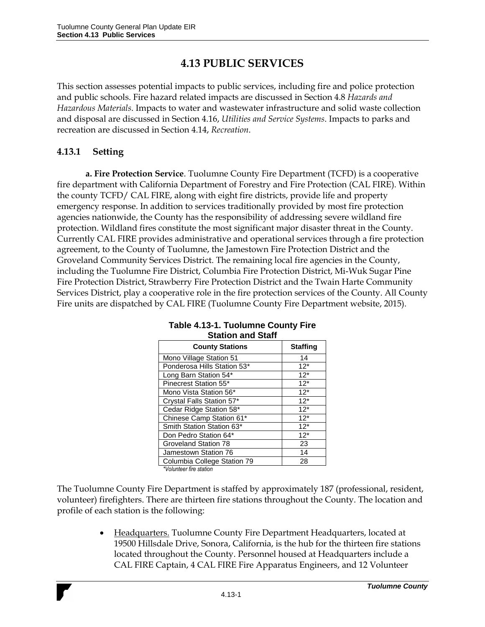# **4.13 PUBLIC SERVICES**

This section assesses potential impacts to public services, including fire and police protection and public schools. Fire hazard related impacts are discussed in Section 4.8 *Hazards and Hazardous Materials*. Impacts to water and wastewater infrastructure and solid waste collection and disposal are discussed in Section 4.16, *Utilities and Service Systems*. Impacts to parks and recreation are discussed in Section 4.14, *Recreation*.

### **4.13.1 Setting**

**a. Fire Protection Service**. Tuolumne County Fire Department (TCFD) is a cooperative fire department with California Department of Forestry and Fire Protection (CAL FIRE). Within the county TCFD/ CAL FIRE, along with eight fire districts, provide life and property emergency response. In addition to services traditionally provided by most fire protection agencies nationwide, the County has the responsibility of addressing severe wildland fire protection. Wildland fires constitute the most significant major disaster threat in the County. Currently CAL FIRE provides administrative and operational services through a fire protection agreement, to the County of Tuolumne, the Jamestown Fire Protection District and the Groveland Community Services District. The remaining local fire agencies in the County, including the Tuolumne Fire District, Columbia Fire Protection District, Mi-Wuk Sugar Pine Fire Protection District, Strawberry Fire Protection District and the Twain Harte Community Services District, play a cooperative role in the fire protection services of the County. All County Fire units are dispatched by CAL FIRE (Tuolumne County Fire Department website, 2015).

| <b>County Stations</b>      | <b>Staffing</b> |
|-----------------------------|-----------------|
| Mono Village Station 51     | 14              |
| Ponderosa Hills Station 53* | $12*$           |
| Long Barn Station 54*       | $12*$           |
| Pinecrest Station 55*       | $12*$           |
| Mono Vista Station 56*      | $12*$           |
| Crystal Falls Station 57*   | $12*$           |
| Cedar Ridge Station 58*     | $12*$           |
| Chinese Camp Station 61*    | $12*$           |
| Smith Station Station 63*   | $12*$           |
| Don Pedro Station 64*       | $12*$           |
| Groveland Station 78        | 23              |
| Jamestown Station 76        | 14              |
| Columbia College Station 79 | 28              |

### **Table 4.13-1. Tuolumne County Fire Station and Staff**

*\*Volunteer fire station*

The Tuolumne County Fire Department is staffed by approximately 187 (professional, resident, volunteer) firefighters. There are thirteen fire stations throughout the County. The location and profile of each station is the following:

> Headquarters. Tuolumne County Fire Department Headquarters, located at 19500 Hillsdale Drive, Sonora, California, is the hub for the thirteen fire stations located throughout the County. Personnel housed at Headquarters include a CAL FIRE Captain, 4 CAL FIRE Fire Apparatus Engineers, and 12 Volunteer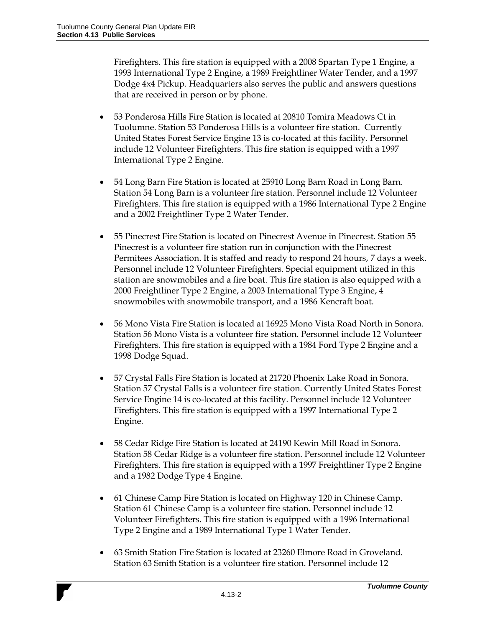Firefighters. This fire station is equipped with a 2008 Spartan Type 1 Engine, a 1993 International Type 2 Engine, a 1989 Freightliner Water Tender, and a 1997 Dodge 4x4 Pickup. Headquarters also serves the public and answers questions that are received in person or by phone.

- 53 Ponderosa Hills Fire Station is located at 20810 Tomira Meadows Ct in Tuolumne. Station 53 Ponderosa Hills is a volunteer fire station. Currently United States Forest Service Engine 13 is co-located at this facility. Personnel include 12 Volunteer Firefighters. This fire station is equipped with a 1997 International Type 2 Engine.
- 54 Long Barn Fire Station is located at 25910 Long Barn Road in Long Barn. Station 54 Long Barn is a volunteer fire station. Personnel include 12 Volunteer Firefighters. This fire station is equipped with a 1986 International Type 2 Engine and a 2002 Freightliner Type 2 Water Tender.
- 55 Pinecrest Fire Station is located on Pinecrest Avenue in Pinecrest. Station 55 Pinecrest is a volunteer fire station run in conjunction with the Pinecrest Permitees Association. It is staffed and ready to respond 24 hours, 7 days a week. Personnel include 12 Volunteer Firefighters. Special equipment utilized in this station are snowmobiles and a fire boat. This fire station is also equipped with a 2000 Freightliner Type 2 Engine, a 2003 International Type 3 Engine, 4 snowmobiles with snowmobile transport, and a 1986 Kencraft boat.
- 56 Mono Vista Fire Station is located at 16925 Mono Vista Road North in Sonora. Station 56 Mono Vista is a volunteer fire station. Personnel include 12 Volunteer Firefighters. This fire station is equipped with a 1984 Ford Type 2 Engine and a 1998 Dodge Squad.
- 57 Crystal Falls Fire Station is located at 21720 Phoenix Lake Road in Sonora. Station 57 Crystal Falls is a volunteer fire station. Currently United States Forest Service Engine 14 is co-located at this facility. Personnel include 12 Volunteer Firefighters. This fire station is equipped with a 1997 International Type 2 Engine.
- 58 Cedar Ridge Fire Station is located at 24190 Kewin Mill Road in Sonora. Station 58 Cedar Ridge is a volunteer fire station. Personnel include 12 Volunteer Firefighters. This fire station is equipped with a 1997 Freightliner Type 2 Engine and a 1982 Dodge Type 4 Engine.
- 61 Chinese Camp Fire Station is located on Highway 120 in Chinese Camp. Station 61 Chinese Camp is a volunteer fire station. Personnel include 12 Volunteer Firefighters. This fire station is equipped with a 1996 International Type 2 Engine and a 1989 International Type 1 Water Tender.
- 63 Smith Station Fire Station is located at 23260 Elmore Road in Groveland. Station 63 Smith Station is a volunteer fire station. Personnel include 12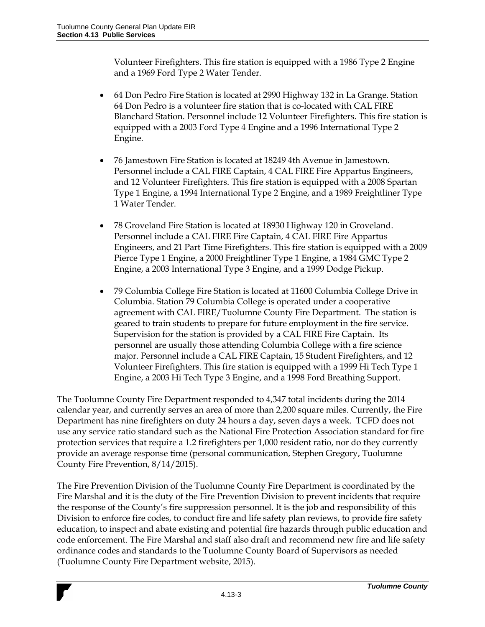Volunteer Firefighters. This fire station is equipped with a 1986 Type 2 Engine and a 1969 Ford Type 2 Water Tender.

- 64 Don Pedro Fire Station is located at 2990 Highway 132 in La Grange. Station 64 Don Pedro is a volunteer fire station that is co-located with CAL FIRE Blanchard Station. Personnel include 12 Volunteer Firefighters. This fire station is equipped with a 2003 Ford Type 4 Engine and a 1996 International Type 2 Engine.
- 76 Jamestown Fire Station is located at 18249 4th Avenue in Jamestown. Personnel include a CAL FIRE Captain, 4 CAL FIRE Fire Appartus Engineers, and 12 Volunteer Firefighters. This fire station is equipped with a 2008 Spartan Type 1 Engine, a 1994 International Type 2 Engine, and a 1989 Freightliner Type 1 Water Tender.
- 78 Groveland Fire Station is located at 18930 Highway 120 in Groveland. Personnel include a CAL FIRE Fire Captain, 4 CAL FIRE Fire Appartus Engineers, and 21 Part Time Firefighters. This fire station is equipped with a 2009 Pierce Type 1 Engine, a 2000 Freightliner Type 1 Engine, a 1984 GMC Type 2 Engine, a 2003 International Type 3 Engine, and a 1999 Dodge Pickup.
- 79 Columbia College Fire Station is located at 11600 Columbia College Drive in Columbia. Station 79 Columbia College is operated under a cooperative agreement with CAL FIRE/Tuolumne County Fire Department. The station is geared to train students to prepare for future employment in the fire service. Supervision for the station is provided by a CAL FIRE Fire Captain. Its personnel are usually those attending Columbia College with a fire science major. Personnel include a CAL FIRE Captain, 15 Student Firefighters, and 12 Volunteer Firefighters. This fire station is equipped with a 1999 Hi Tech Type 1 Engine, a 2003 Hi Tech Type 3 Engine, and a 1998 Ford Breathing Support.

The Tuolumne County Fire Department responded to 4,347 total incidents during the 2014 calendar year, and currently serves an area of more than 2,200 square miles. Currently, the Fire Department has nine firefighters on duty 24 hours a day, seven days a week. TCFD does not use any service ratio standard such as the National Fire Protection Association standard for fire protection services that require a 1.2 firefighters per 1,000 resident ratio, nor do they currently provide an average response time (personal communication, Stephen Gregory, Tuolumne County Fire Prevention, 8/14/2015).

The Fire Prevention Division of the Tuolumne County Fire Department is coordinated by the Fire Marshal and it is the duty of the Fire Prevention Division to prevent incidents that require the response of the County's fire suppression personnel. It is the job and responsibility of this Division to enforce fire codes, to conduct fire and life safety plan reviews, to provide fire safety education, to inspect and abate existing and potential fire hazards through public education and code enforcement. The Fire Marshal and staff also draft and recommend new fire and life safety ordinance codes and standards to the Tuolumne County Board of Supervisors as needed (Tuolumne County Fire Department website, 2015).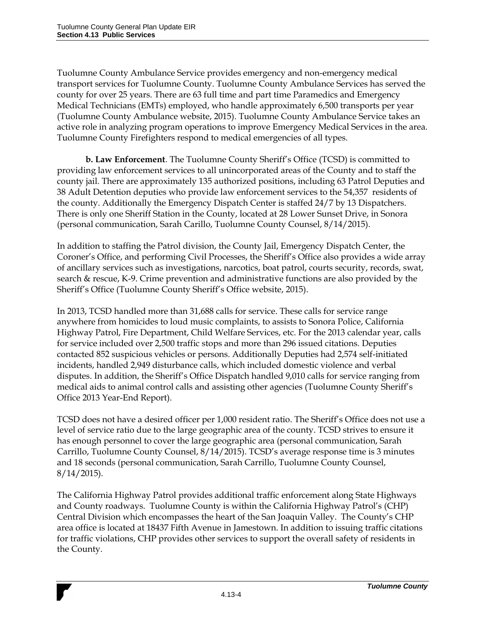Tuolumne County Ambulance Service provides emergency and non-emergency medical transport services for Tuolumne County. Tuolumne County Ambulance Services has served the county for over 25 years. There are 63 full time and part time Paramedics and Emergency Medical Technicians (EMTs) employed, who handle approximately 6,500 transports per year (Tuolumne County Ambulance website, 2015). Tuolumne County Ambulance Service takes an active role in analyzing program operations to improve Emergency Medical Services in the area. Tuolumne County Firefighters respond to medical emergencies of all types.

**b. Law Enforcement**. The Tuolumne County Sheriff's Office (TCSD) is committed to providing law enforcement services to all unincorporated areas of the County and to staff the county jail. There are approximately 135 authorized positions, including 63 Patrol Deputies and 38 Adult Detention deputies who provide law enforcement services to the 54,357 residents of the county. Additionally the Emergency Dispatch Center is staffed 24/7 by 13 Dispatchers. There is only one Sheriff Station in the County, located at 28 Lower Sunset Drive, in Sonora (personal communication, Sarah Carillo, Tuolumne County Counsel, 8/14/2015).

In addition to staffing the Patrol division, the County Jail, Emergency Dispatch Center, the Coroner's Office, and performing Civil Processes, the Sheriff's Office also provides a wide array of ancillary services such as investigations, narcotics, boat patrol, courts security, records, swat, search & rescue, K-9. Crime prevention and administrative functions are also provided by the Sheriff's Office (Tuolumne County Sheriff's Office website, 2015).

In 2013, TCSD handled more than 31,688 calls for service. These calls for service range anywhere from homicides to loud music complaints, to assists to Sonora Police, California Highway Patrol, Fire Department, Child Welfare Services, etc. For the 2013 calendar year, calls for service included over 2,500 traffic stops and more than 296 issued citations. Deputies contacted 852 suspicious vehicles or persons. Additionally Deputies had 2,574 self-initiated incidents, handled 2,949 disturbance calls, which included domestic violence and verbal disputes. In addition, the Sheriff's Office Dispatch handled 9,010 calls for service ranging from medical aids to animal control calls and assisting other agencies (Tuolumne County Sheriff's Office 2013 Year-End Report).

TCSD does not have a desired officer per 1,000 resident ratio. The Sheriff's Office does not use a level of service ratio due to the large geographic area of the county. TCSD strives to ensure it has enough personnel to cover the large geographic area (personal communication, Sarah Carrillo, Tuolumne County Counsel, 8/14/2015). TCSD's average response time is 3 minutes and 18 seconds (personal communication, Sarah Carrillo, Tuolumne County Counsel,  $8/14/2015$ ).

The California Highway Patrol provides additional traffic enforcement along State Highways and County roadways. Tuolumne County is within the California Highway Patrol's (CHP) Central Division which encompasses the heart of the San Joaquin Valley. The County's CHP area office is located at 18437 Fifth Avenue in Jamestown. In addition to issuing traffic citations for traffic violations, CHP provides other services to support the overall safety of residents in the County.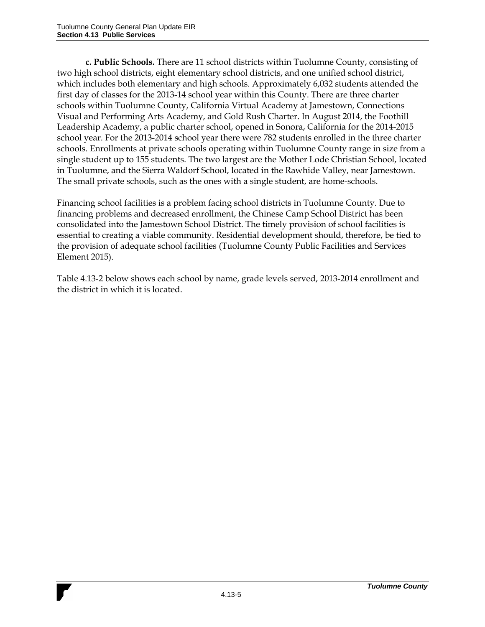**c. Public Schools.** There are 11 school districts within Tuolumne County, consisting of two high school districts, eight elementary school districts, and one unified school district, which includes both elementary and high schools. Approximately 6,032 students attended the first day of classes for the 2013-14 school year within this County. There are three charter schools within Tuolumne County, California Virtual Academy at Jamestown, Connections Visual and Performing Arts Academy, and Gold Rush Charter. In August 2014, the Foothill Leadership Academy, a public charter school, opened in Sonora, California for the 2014-2015 school year. For the 2013-2014 school year there were 782 students enrolled in the three charter schools. Enrollments at private schools operating within Tuolumne County range in size from a single student up to 155 students. The two largest are the Mother Lode Christian School, located in Tuolumne, and the Sierra Waldorf School, located in the Rawhide Valley, near Jamestown. The small private schools, such as the ones with a single student, are home-schools.

Financing school facilities is a problem facing school districts in Tuolumne County. Due to financing problems and decreased enrollment, the Chinese Camp School District has been consolidated into the Jamestown School District. The timely provision of school facilities is essential to creating a viable community. Residential development should, therefore, be tied to the provision of adequate school facilities (Tuolumne County Public Facilities and Services Element 2015).

Table 4.13-2 below shows each school by name, grade levels served, 2013-2014 enrollment and the district in which it is located.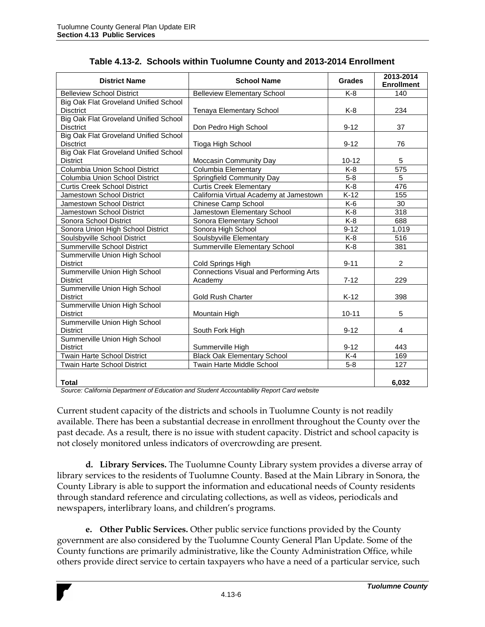| <b>District Name</b>                                             | <b>School Name</b>                                       | <b>Grades</b> | 2013-2014<br><b>Enrollment</b> |
|------------------------------------------------------------------|----------------------------------------------------------|---------------|--------------------------------|
| <b>Belleview School District</b>                                 | <b>Belleview Elementary School</b>                       | K-8           | 140                            |
| Big Oak Flat Groveland Unified School<br><b>Disctrict</b>        | Tenaya Elementary School                                 | K-8           | 234                            |
| Big Oak Flat Groveland Unified School<br><b>Disctrict</b>        |                                                          | $9 - 12$      | 37                             |
|                                                                  | Don Pedro High School                                    |               |                                |
| <b>Big Oak Flat Groveland Unified School</b><br><b>Disctrict</b> | Tioga High School                                        | $9 - 12$      | 76                             |
| <b>Big Oak Flat Groveland Unified School</b>                     |                                                          |               |                                |
| <b>District</b>                                                  | Moccasin Community Day                                   | $10 - 12$     | 5                              |
| Columbia Union School District                                   | Columbia Elementary                                      | $K-8$         | 575                            |
| Columbia Union School District                                   | Springfield Community Day                                | $5-8$         | 5                              |
| <b>Curtis Creek School District</b>                              | <b>Curtis Creek Elementary</b>                           | $K-8$         | 476                            |
| Jamestown School District                                        | California Virtual Academy at Jamestown                  | $K-12$        | 155                            |
| Jamestown School District                                        | Chinese Camp School                                      | K-6           | 30                             |
| Jamestown School District                                        | Jamestown Elementary School                              | K-8           | 318                            |
| Sonora School District                                           | Sonora Elementary School                                 | $K-8$         | 688                            |
| Sonora Union High School District                                | Sonora High School                                       | $9 - 12$      | 1,019                          |
| Soulsbyville School District                                     | Soulsbyville Elementary                                  | $K-8$         | 516                            |
| <b>Summerville School District</b>                               | Summerville Elementary School                            | $K-8$         | 381                            |
| Summerville Union High School<br><b>District</b>                 | Cold Springs High                                        | $9 - 11$      | $\overline{c}$                 |
| Summerville Union High School<br><b>District</b>                 | <b>Connections Visual and Performing Arts</b><br>Academy | $7 - 12$      | 229                            |
| Summerville Union High School<br><b>District</b>                 | <b>Gold Rush Charter</b>                                 | $K-12$        | 398                            |
| Summerville Union High School<br><b>District</b>                 | Mountain High                                            | $10 - 11$     | 5                              |
| Summerville Union High School<br><b>District</b>                 | South Fork High                                          | $9 - 12$      | $\overline{4}$                 |
| Summerville Union High School<br><b>District</b>                 | Summerville High                                         | $9 - 12$      | 443                            |
| <b>Twain Harte School District</b>                               | <b>Black Oak Elementary School</b>                       | $K-4$         | 169                            |
| Twain Harte School District                                      | Twain Harte Middle School                                | $5 - 8$       | $\overline{127}$               |
| <b>Total</b>                                                     |                                                          |               | 6.032                          |

| Table 4.13-2. Schools within Tuolumne County and 2013-2014 Enrollment |
|-----------------------------------------------------------------------|
|-----------------------------------------------------------------------|

*Source: California Department of Education and Student Accountability Report Card website*

Current student capacity of the districts and schools in Tuolumne County is not readily available. There has been a substantial decrease in enrollment throughout the County over the past decade. As a result, there is no issue with student capacity. District and school capacity is not closely monitored unless indicators of overcrowding are present.

**d. Library Services.** The Tuolumne County Library system provides a diverse array of library services to the residents of Tuolumne County. Based at the Main Library in Sonora, the County Library is able to support the information and educational needs of County residents through standard reference and circulating collections, as well as videos, periodicals and newspapers, interlibrary loans, and children's programs.

**e. Other Public Services.** Other public service functions provided by the County government are also considered by the Tuolumne County General Plan Update. Some of the County functions are primarily administrative, like the County Administration Office, while others provide direct service to certain taxpayers who have a need of a particular service, such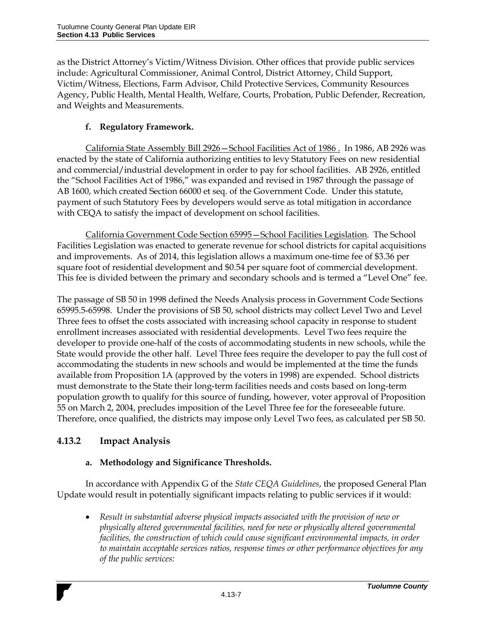as the District Attorney's Victim/Witness Division. Other offices that provide public services include: Agricultural Commissioner, Animal Control, District Attorney, Child Support, Victim/Witness, Elections, Farm Advisor, Child Protective Services, Community Resources Agency, Public Health, Mental Health, Welfare, Courts, Probation, Public Defender, Recreation, and Weights and Measurements.

## **f. Regulatory Framework.**

California State Assembly Bill 2926—School Facilities Act of 1986 . In 1986, AB 2926 was enacted by the state of California authorizing entities to levy Statutory Fees on new residential and commercial/industrial development in order to pay for school facilities. AB 2926, entitled the "School Facilities Act of 1986," was expanded and revised in 1987 through the passage of AB 1600, which created Section 66000 et seq. of the Government Code. Under this statute, payment of such Statutory Fees by developers would serve as total mitigation in accordance with CEQA to satisfy the impact of development on school facilities.

California Government Code Section 65995—School Facilities Legislation*.* The School Facilities Legislation was enacted to generate revenue for school districts for capital acquisitions and improvements. As of 2014, this legislation allows a maximum one-time fee of \$3.36 per square foot of residential development and \$0.54 per square foot of commercial development. This fee is divided between the primary and secondary schools and is termed a "Level One" fee.

The passage of SB 50 in 1998 defined the Needs Analysis process in Government Code Sections 65995.5-65998. Under the provisions of SB 50, school districts may collect Level Two and Level Three fees to offset the costs associated with increasing school capacity in response to student enrollment increases associated with residential developments. Level Two fees require the developer to provide one-half of the costs of accommodating students in new schools, while the State would provide the other half. Level Three fees require the developer to pay the full cost of accommodating the students in new schools and would be implemented at the time the funds available from Proposition 1A (approved by the voters in 1998) are expended. School districts must demonstrate to the State their long-term facilities needs and costs based on long-term population growth to qualify for this source of funding, however, voter approval of Proposition 55 on March 2, 2004, precludes imposition of the Level Three fee for the foreseeable future. Therefore, once qualified, the districts may impose only Level Two fees, as calculated per SB 50.

# **4.13.2 Impact Analysis**

### **a. Methodology and Significance Thresholds.**

In accordance with Appendix G of the *State CEQA Guidelines*, the proposed General Plan Update would result in potentially significant impacts relating to public services if it would:

 *Result in substantial adverse physical impacts associated with the provision of new or physically altered governmental facilities, need for new or physically altered governmental facilities, the construction of which could cause significant environmental impacts, in order to maintain acceptable services ratios, response times or other performance objectives for any of the public services:*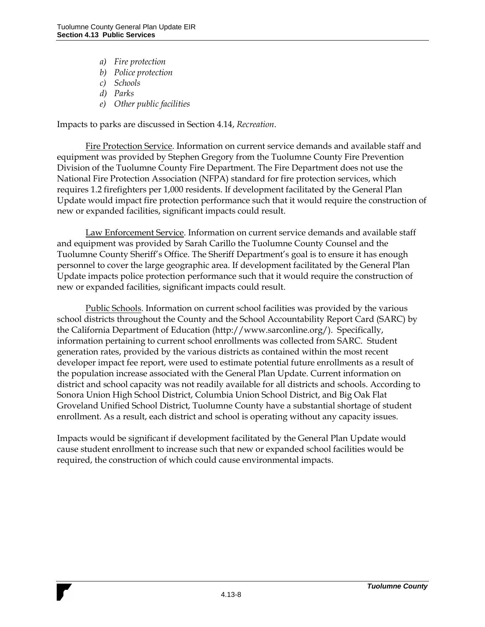- *a) Fire protection*
- *b) Police protection*
- *c) Schools*
- *d) Parks*
- *e) Other public facilities*

Impacts to parks are discussed in Section 4.14, *Recreation*.

Fire Protection Service. Information on current service demands and available staff and equipment was provided by Stephen Gregory from the Tuolumne County Fire Prevention Division of the Tuolumne County Fire Department. The Fire Department does not use the National Fire Protection Association (NFPA) standard for fire protection services, which requires 1.2 firefighters per 1,000 residents. If development facilitated by the General Plan Update would impact fire protection performance such that it would require the construction of new or expanded facilities, significant impacts could result.

Law Enforcement Service. Information on current service demands and available staff and equipment was provided by Sarah Carillo the Tuolumne County Counsel and the Tuolumne County Sheriff's Office. The Sheriff Department's goal is to ensure it has enough personnel to cover the large geographic area. If development facilitated by the General Plan Update impacts police protection performance such that it would require the construction of new or expanded facilities, significant impacts could result.

Public Schools. Information on current school facilities was provided by the various school districts throughout the County and the School Accountability Report Card (SARC) by the California Department of Education (http://www.sarconline.org/). Specifically, information pertaining to current school enrollments was collected from SARC. Student generation rates, provided by the various districts as contained within the most recent developer impact fee report, were used to estimate potential future enrollments as a result of the population increase associated with the General Plan Update. Current information on district and school capacity was not readily available for all districts and schools. According to Sonora Union High School District, Columbia Union School District, and Big Oak Flat Groveland Unified School District, Tuolumne County have a substantial shortage of student enrollment. As a result, each district and school is operating without any capacity issues.

Impacts would be significant if development facilitated by the General Plan Update would cause student enrollment to increase such that new or expanded school facilities would be required, the construction of which could cause environmental impacts.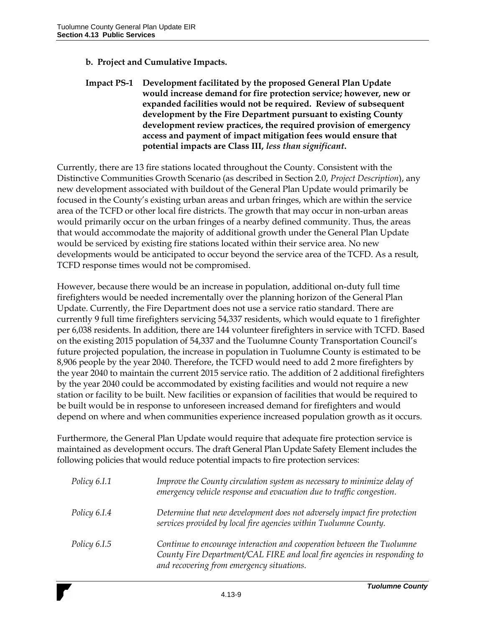### **b. Project and Cumulative Impacts.**

### **Impact PS-1 Development facilitated by the proposed General Plan Update would increase demand for fire protection service; however, new or expanded facilities would not be required. Review of subsequent development by the Fire Department pursuant to existing County development review practices, the required provision of emergency access and payment of impact mitigation fees would ensure that potential impacts are Class III,** *less than significant***.**

Currently, there are 13 fire stations located throughout the County. Consistent with the Distinctive Communities Growth Scenario (as described in Section 2.0, *Project Description*), any new development associated with buildout of the General Plan Update would primarily be focused in the County's existing urban areas and urban fringes, which are within the service area of the TCFD or other local fire districts. The growth that may occur in non-urban areas would primarily occur on the urban fringes of a nearby defined community. Thus, the areas that would accommodate the majority of additional growth under the General Plan Update would be serviced by existing fire stations located within their service area. No new developments would be anticipated to occur beyond the service area of the TCFD. As a result, TCFD response times would not be compromised.

However, because there would be an increase in population, additional on-duty full time firefighters would be needed incrementally over the planning horizon of the General Plan Update. Currently, the Fire Department does not use a service ratio standard. There are currently 9 full time firefighters servicing 54,337 residents, which would equate to 1 firefighter per 6,038 residents. In addition, there are 144 volunteer firefighters in service with TCFD. Based on the existing 2015 population of 54,337 and the Tuolumne County Transportation Council's future projected population, the increase in population in Tuolumne County is estimated to be 8,906 people by the year 2040. Therefore, the TCFD would need to add 2 more firefighters by the year 2040 to maintain the current 2015 service ratio. The addition of 2 additional firefighters by the year 2040 could be accommodated by existing facilities and would not require a new station or facility to be built. New facilities or expansion of facilities that would be required to be built would be in response to unforeseen increased demand for firefighters and would depend on where and when communities experience increased population growth as it occurs.

Furthermore, the General Plan Update would require that adequate fire protection service is maintained as development occurs. The draft General Plan Update Safety Element includes the following policies that would reduce potential impacts to fire protection services:

| Policy 6.I.1        | Improve the County circulation system as necessary to minimize delay of<br>emergency vehicle response and evacuation due to traffic congestion.                                                 |
|---------------------|-------------------------------------------------------------------------------------------------------------------------------------------------------------------------------------------------|
| Policy 6.I.4        | Determine that new development does not adversely impact fire protection<br>services provided by local fire agencies within Tuolumne County.                                                    |
| <i>Policy 6.I.5</i> | Continue to encourage interaction and cooperation between the Tuolumne<br>County Fire Department/CAL FIRE and local fire agencies in responding to<br>and recovering from emergency situations. |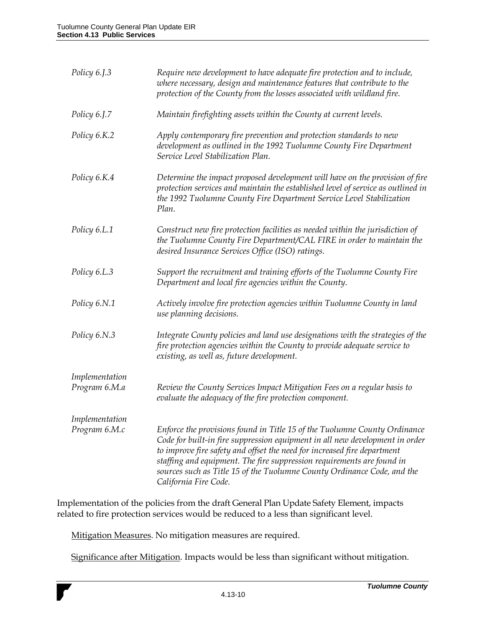| Policy 6.J.3                    | Require new development to have adequate fire protection and to include,<br>where necessary, design and maintenance features that contribute to the<br>protection of the County from the losses associated with wildland fire.                                                                                                                                                                                      |
|---------------------------------|---------------------------------------------------------------------------------------------------------------------------------------------------------------------------------------------------------------------------------------------------------------------------------------------------------------------------------------------------------------------------------------------------------------------|
| Policy 6.J.7                    | Maintain firefighting assets within the County at current levels.                                                                                                                                                                                                                                                                                                                                                   |
| Policy 6.K.2                    | Apply contemporary fire prevention and protection standards to new<br>development as outlined in the 1992 Tuolumne County Fire Department<br>Service Level Stabilization Plan.                                                                                                                                                                                                                                      |
| Policy 6.K.4                    | Determine the impact proposed development will have on the provision of fire<br>protection services and maintain the established level of service as outlined in<br>the 1992 Tuolumne County Fire Department Service Level Stabilization<br>Plan.                                                                                                                                                                   |
| Policy 6.L.1                    | Construct new fire protection facilities as needed within the jurisdiction of<br>the Tuolumne County Fire Department/CAL FIRE in order to maintain the<br>desired Insurance Services Office (ISO) ratings.                                                                                                                                                                                                          |
| Policy 6.L.3                    | Support the recruitment and training efforts of the Tuolumne County Fire<br>Department and local fire agencies within the County.                                                                                                                                                                                                                                                                                   |
| Policy 6.N.1                    | Actively involve fire protection agencies within Tuolumne County in land<br>use planning decisions.                                                                                                                                                                                                                                                                                                                 |
| Policy 6.N.3                    | Integrate County policies and land use designations with the strategies of the<br>fire protection agencies within the County to provide adequate service to<br>existing, as well as, future development.                                                                                                                                                                                                            |
| Implementation<br>Program 6.M.a | Review the County Services Impact Mitigation Fees on a regular basis to<br>evaluate the adequacy of the fire protection component.                                                                                                                                                                                                                                                                                  |
| Implementation<br>Program 6.M.c | Enforce the provisions found in Title 15 of the Tuolumne County Ordinance<br>Code for built-in fire suppression equipment in all new development in order<br>to improve fire safety and offset the need for increased fire department<br>staffing and equipment. The fire suppression requirements are found in<br>sources such as Title 15 of the Tuolumne County Ordinance Code, and the<br>California Fire Code. |

Implementation of the policies from the draft General Plan Update Safety Element, impacts related to fire protection services would be reduced to a less than significant level.

Mitigation Measures. No mitigation measures are required.

Significance after Mitigation. Impacts would be less than significant without mitigation.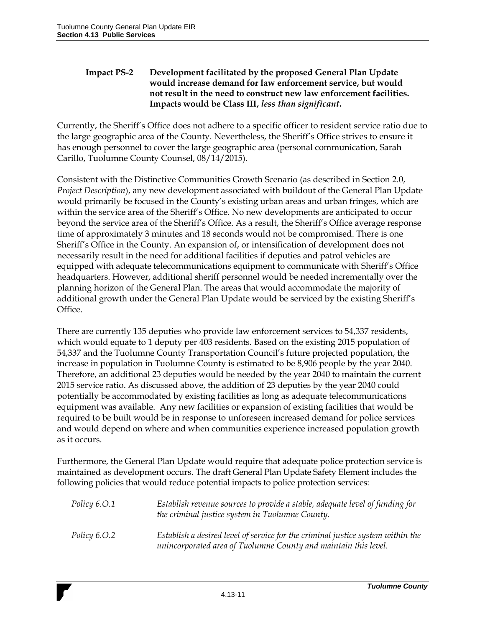### **Impact PS-2 Development facilitated by the proposed General Plan Update would increase demand for law enforcement service, but would not result in the need to construct new law enforcement facilities. Impacts would be Class III,** *less than significant***.**

Currently, the Sheriff's Office does not adhere to a specific officer to resident service ratio due to the large geographic area of the County. Nevertheless, the Sheriff's Office strives to ensure it has enough personnel to cover the large geographic area (personal communication, Sarah Carillo, Tuolumne County Counsel, 08/14/2015).

Consistent with the Distinctive Communities Growth Scenario (as described in Section 2.0, *Project Description*), any new development associated with buildout of the General Plan Update would primarily be focused in the County's existing urban areas and urban fringes, which are within the service area of the Sheriff's Office. No new developments are anticipated to occur beyond the service area of the Sheriff's Office. As a result, the Sheriff's Office average response time of approximately 3 minutes and 18 seconds would not be compromised. There is one Sheriff's Office in the County. An expansion of, or intensification of development does not necessarily result in the need for additional facilities if deputies and patrol vehicles are equipped with adequate telecommunications equipment to communicate with Sheriff's Office headquarters. However, additional sheriff personnel would be needed incrementally over the planning horizon of the General Plan. The areas that would accommodate the majority of additional growth under the General Plan Update would be serviced by the existing Sheriff's Office.

There are currently 135 deputies who provide law enforcement services to 54,337 residents, which would equate to 1 deputy per 403 residents. Based on the existing 2015 population of 54,337 and the Tuolumne County Transportation Council's future projected population, the increase in population in Tuolumne County is estimated to be 8,906 people by the year 2040. Therefore, an additional 23 deputies would be needed by the year 2040 to maintain the current 2015 service ratio. As discussed above, the addition of 23 deputies by the year 2040 could potentially be accommodated by existing facilities as long as adequate telecommunications equipment was available. Any new facilities or expansion of existing facilities that would be required to be built would be in response to unforeseen increased demand for police services and would depend on where and when communities experience increased population growth as it occurs.

Furthermore, the General Plan Update would require that adequate police protection service is maintained as development occurs. The draft General Plan Update Safety Element includes the following policies that would reduce potential impacts to police protection services:

| Policy 6.O.1 | Establish revenue sources to provide a stable, adequate level of funding for<br>the criminal justice system in Tuolumne County.                    |
|--------------|----------------------------------------------------------------------------------------------------------------------------------------------------|
| Policy 6.O.2 | Establish a desired level of service for the criminal justice system within the<br>unincorporated area of Tuolumne County and maintain this level. |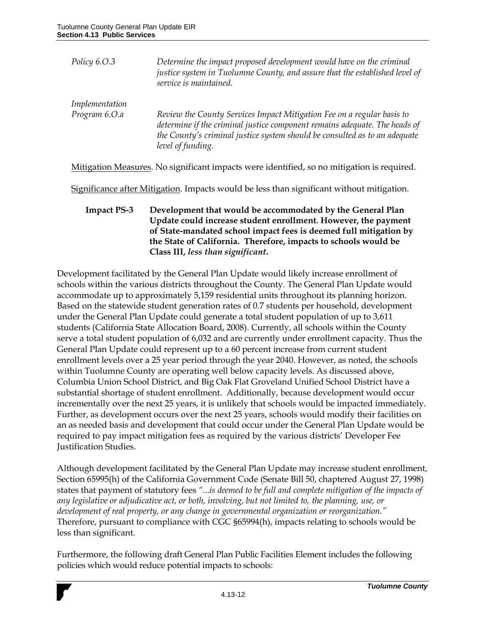| Policy $6.0.3$ | Determine the impact proposed development would have on the criminal<br>justice system in Tuolumne County, and assure that the established level of<br>service is maintained.                                                                           |
|----------------|---------------------------------------------------------------------------------------------------------------------------------------------------------------------------------------------------------------------------------------------------------|
| Implementation |                                                                                                                                                                                                                                                         |
| Program 6.O.a  | Review the County Services Impact Mitigation Fee on a regular basis to<br>determine if the criminal justice component remains adequate. The heads of<br>the County's criminal justice system should be consulted as to an adequate<br>level of funding. |

Mitigation Measures. No significant impacts were identified, so no mitigation is required.

Significance after Mitigation. Impacts would be less than significant without mitigation.

**Impact PS-3 Development that would be accommodated by the General Plan Update could increase student enrollment. However, the payment of State-mandated school impact fees is deemed full mitigation by the State of California. Therefore, impacts to schools would be Class III,** *less than significant***.** 

Development facilitated by the General Plan Update would likely increase enrollment of schools within the various districts throughout the County. The General Plan Update would accommodate up to approximately 5,159 residential units throughout its planning horizon. Based on the statewide student generation rates of 0.7 students per household, development under the General Plan Update could generate a total student population of up to 3,611 students (California State Allocation Board, 2008). Currently, all schools within the County serve a total student population of 6,032 and are currently under enrollment capacity. Thus the General Plan Update could represent up to a 60 percent increase from current student enrollment levels over a 25 year period through the year 2040. However, as noted, the schools within Tuolumne County are operating well below capacity levels. As discussed above, Columbia Union School District, and Big Oak Flat Groveland Unified School District have a substantial shortage of student enrollment. Additionally, because development would occur incrementally over the next 25 years, it is unlikely that schools would be impacted immediately. Further, as development occurs over the next 25 years, schools would modify their facilities on an as needed basis and development that could occur under the General Plan Update would be required to pay impact mitigation fees as required by the various districts' Developer Fee Justification Studies.

Although development facilitated by the General Plan Update may increase student enrollment, Section 65995(h) of the California Government Code (Senate Bill 50, chaptered August 27, 1998) states that payment of statutory fees *"...is deemed to be full and complete mitigation of the impacts of any legislative or adjudicative act, or both, involving, but not limited to, the planning, use, or development of real property, or any change in governmental organization or reorganization."* Therefore, pursuant to compliance with CGC §65994(h), impacts relating to schools would be less than significant.

Furthermore, the following draft General Plan Public Facilities Element includes the following policies which would reduce potential impacts to schools: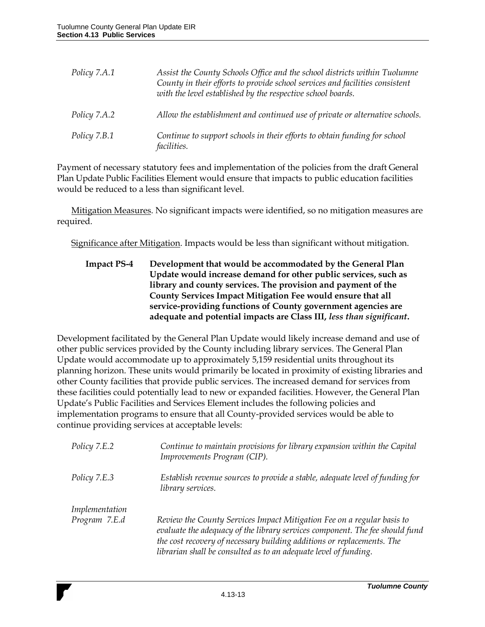| Policy 7.A.1 | Assist the County Schools Office and the school districts within Tuolumne<br>County in their efforts to provide school services and facilities consistent<br>with the level established by the respective school boards. |
|--------------|--------------------------------------------------------------------------------------------------------------------------------------------------------------------------------------------------------------------------|
| Policy 7.A.2 | Allow the establishment and continued use of private or alternative schools.                                                                                                                                             |
| Policy 7.B.1 | Continue to support schools in their efforts to obtain funding for school<br><i>facilities.</i>                                                                                                                          |

Payment of necessary statutory fees and implementation of the policies from the draft General Plan Update Public Facilities Element would ensure that impacts to public education facilities would be reduced to a less than significant level.

Mitigation Measures. No significant impacts were identified, so no mitigation measures are required.

Significance after Mitigation. Impacts would be less than significant without mitigation.

### **Impact PS-4 Development that would be accommodated by the General Plan Update would increase demand for other public services, such as library and county services. The provision and payment of the County Services Impact Mitigation Fee would ensure that all service-providing functions of County government agencies are adequate and potential impacts are Class III,** *less than significant***.**

Development facilitated by the General Plan Update would likely increase demand and use of other public services provided by the County including library services. The General Plan Update would accommodate up to approximately 5,159 residential units throughout its planning horizon. These units would primarily be located in proximity of existing libraries and other County facilities that provide public services. The increased demand for services from these facilities could potentially lead to new or expanded facilities. However, the General Plan Update's Public Facilities and Services Element includes the following policies and implementation programs to ensure that all County-provided services would be able to continue providing services at acceptable levels:

| Policy 7.E.2   | Continue to maintain provisions for library expansion within the Capital<br>Improvements Program (CIP).                                                                                                                                                                                              |
|----------------|------------------------------------------------------------------------------------------------------------------------------------------------------------------------------------------------------------------------------------------------------------------------------------------------------|
| Policy 7.E.3   | Establish revenue sources to provide a stable, adequate level of funding for<br>library services.                                                                                                                                                                                                    |
| Implementation |                                                                                                                                                                                                                                                                                                      |
| Program 7.E.d  | Review the County Services Impact Mitigation Fee on a regular basis to<br>evaluate the adequacy of the library services component. The fee should fund<br>the cost recovery of necessary building additions or replacements. The<br>librarian shall be consulted as to an adequate level of funding. |